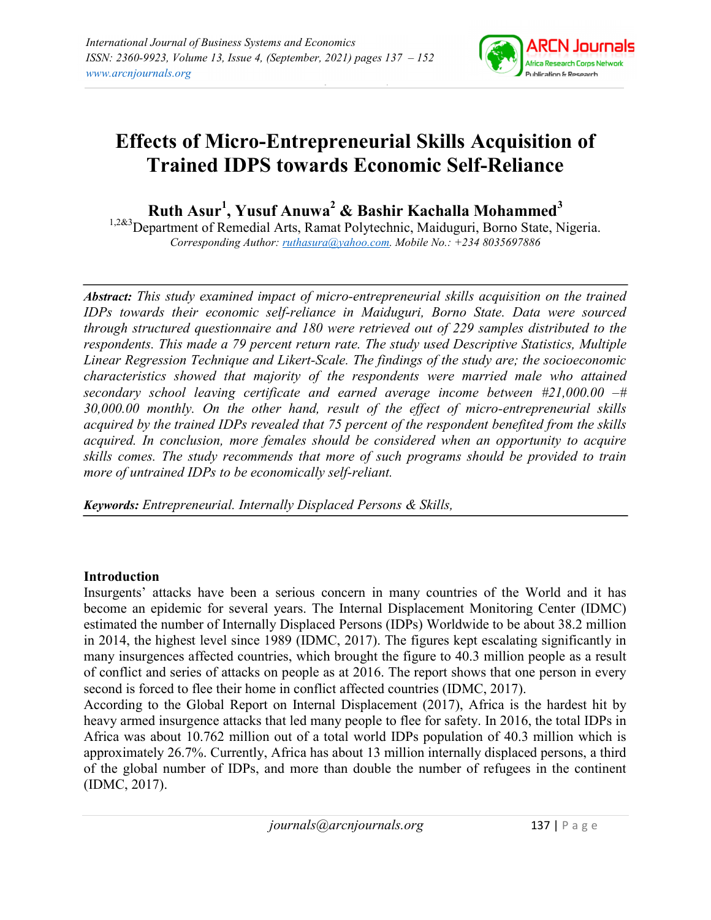

# Effects of Micro-Entrepreneurial Skills Acquisition of Trained IDPS towards Economic Self-Reliance

Ruth Asur<sup>1</sup>, Yusuf Anuwa<sup>2</sup> & Bashir Kachalla Mohammed<sup>3</sup>

<sup>1,2&3</sup>Department of Remedial Arts, Ramat Polytechnic, Maiduguri, Borno State, Nigeria. Corresponding Author: ruthasura@yahoo.com. Mobile No.: +234 8035697886

Abstract: This study examined impact of micro-entrepreneurial skills acquisition on the trained IDPs towards their economic self-reliance in Maiduguri, Borno State. Data were sourced through structured questionnaire and 180 were retrieved out of 229 samples distributed to the respondents. This made a 79 percent return rate. The study used Descriptive Statistics, Multiple Linear Regression Technique and Likert-Scale. The findings of the study are; the socioeconomic characteristics showed that majority of the respondents were married male who attained secondary school leaving certificate and earned average income between #21,000.00 –# 30,000.00 monthly. On the other hand, result of the effect of micro-entrepreneurial skills acquired by the trained IDPs revealed that 75 percent of the respondent benefited from the skills acquired. In conclusion, more females should be considered when an opportunity to acquire skills comes. The study recommends that more of such programs should be provided to train more of untrained IDPs to be economically self-reliant.

Keywords: Entrepreneurial. Internally Displaced Persons & Skills,

# Introduction

Insurgents' attacks have been a serious concern in many countries of the World and it has become an epidemic for several years. The Internal Displacement Monitoring Center (IDMC) estimated the number of Internally Displaced Persons (IDPs) Worldwide to be about 38.2 million in 2014, the highest level since 1989 (IDMC, 2017). The figures kept escalating significantly in many insurgences affected countries, which brought the figure to 40.3 million people as a result of conflict and series of attacks on people as at 2016. The report shows that one person in every second is forced to flee their home in conflict affected countries (IDMC, 2017).

According to the Global Report on Internal Displacement (2017), Africa is the hardest hit by heavy armed insurgence attacks that led many people to flee for safety. In 2016, the total IDPs in Africa was about 10.762 million out of a total world IDPs population of 40.3 million which is approximately 26.7%. Currently, Africa has about 13 million internally displaced persons, a third of the global number of IDPs, and more than double the number of refugees in the continent (IDMC, 2017).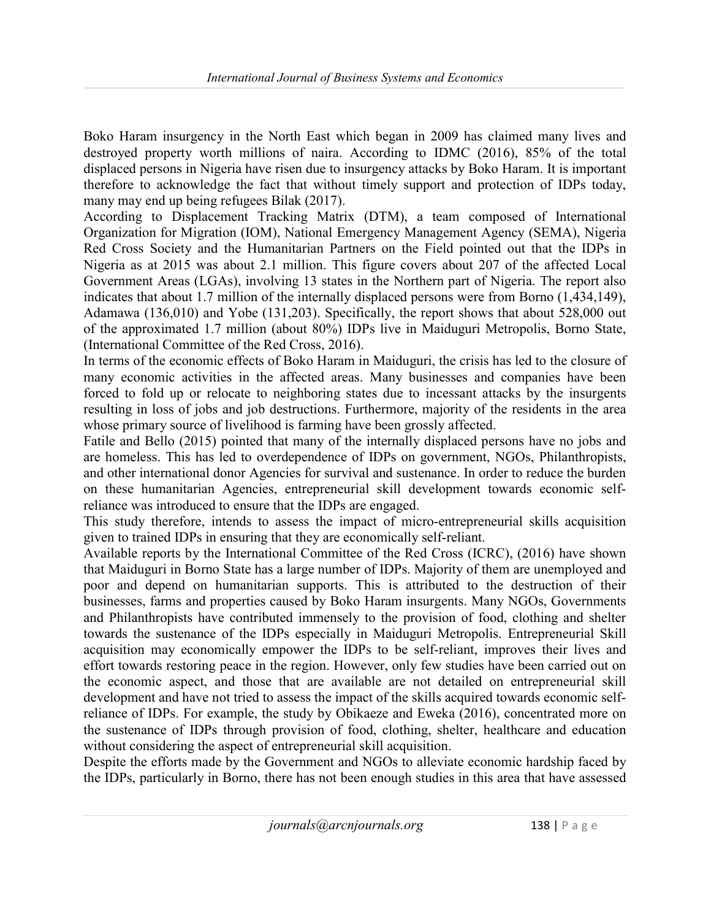Boko Haram insurgency in the North East which began in 2009 has claimed many lives and destroyed property worth millions of naira. According to IDMC (2016), 85% of the total displaced persons in Nigeria have risen due to insurgency attacks by Boko Haram. It is important therefore to acknowledge the fact that without timely support and protection of IDPs today, many may end up being refugees Bilak (2017).

According to Displacement Tracking Matrix (DTM), a team composed of International Organization for Migration (IOM), National Emergency Management Agency (SEMA), Nigeria Red Cross Society and the Humanitarian Partners on the Field pointed out that the IDPs in Nigeria as at 2015 was about 2.1 million. This figure covers about 207 of the affected Local Government Areas (LGAs), involving 13 states in the Northern part of Nigeria. The report also indicates that about 1.7 million of the internally displaced persons were from Borno (1,434,149), Adamawa (136,010) and Yobe (131,203). Specifically, the report shows that about 528,000 out of the approximated 1.7 million (about 80%) IDPs live in Maiduguri Metropolis, Borno State, (International Committee of the Red Cross, 2016).

In terms of the economic effects of Boko Haram in Maiduguri, the crisis has led to the closure of many economic activities in the affected areas. Many businesses and companies have been forced to fold up or relocate to neighboring states due to incessant attacks by the insurgents resulting in loss of jobs and job destructions. Furthermore, majority of the residents in the area whose primary source of livelihood is farming have been grossly affected.

Fatile and Bello (2015) pointed that many of the internally displaced persons have no jobs and are homeless. This has led to overdependence of IDPs on government, NGOs, Philanthropists, and other international donor Agencies for survival and sustenance. In order to reduce the burden on these humanitarian Agencies, entrepreneurial skill development towards economic selfreliance was introduced to ensure that the IDPs are engaged.

This study therefore, intends to assess the impact of micro-entrepreneurial skills acquisition given to trained IDPs in ensuring that they are economically self-reliant.

Available reports by the International Committee of the Red Cross (ICRC), (2016) have shown that Maiduguri in Borno State has a large number of IDPs. Majority of them are unemployed and poor and depend on humanitarian supports. This is attributed to the destruction of their businesses, farms and properties caused by Boko Haram insurgents. Many NGOs, Governments and Philanthropists have contributed immensely to the provision of food, clothing and shelter towards the sustenance of the IDPs especially in Maiduguri Metropolis. Entrepreneurial Skill acquisition may economically empower the IDPs to be self-reliant, improves their lives and effort towards restoring peace in the region. However, only few studies have been carried out on the economic aspect, and those that are available are not detailed on entrepreneurial skill development and have not tried to assess the impact of the skills acquired towards economic selfreliance of IDPs. For example, the study by Obikaeze and Eweka (2016), concentrated more on the sustenance of IDPs through provision of food, clothing, shelter, healthcare and education without considering the aspect of entrepreneurial skill acquisition.

Despite the efforts made by the Government and NGOs to alleviate economic hardship faced by the IDPs, particularly in Borno, there has not been enough studies in this area that have assessed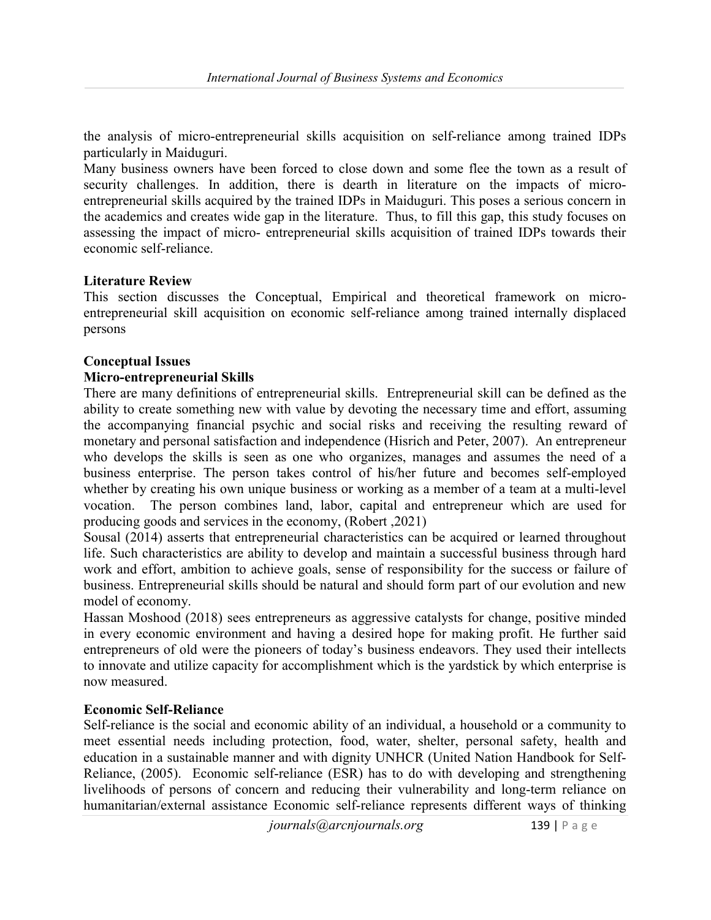the analysis of micro-entrepreneurial skills acquisition on self-reliance among trained IDPs particularly in Maiduguri.

Many business owners have been forced to close down and some flee the town as a result of security challenges. In addition, there is dearth in literature on the impacts of microentrepreneurial skills acquired by the trained IDPs in Maiduguri. This poses a serious concern in the academics and creates wide gap in the literature. Thus, to fill this gap, this study focuses on assessing the impact of micro- entrepreneurial skills acquisition of trained IDPs towards their economic self-reliance.

### Literature Review

This section discusses the Conceptual, Empirical and theoretical framework on microentrepreneurial skill acquisition on economic self-reliance among trained internally displaced persons

### Conceptual Issues

#### Micro-entrepreneurial Skills

There are many definitions of entrepreneurial skills. Entrepreneurial skill can be defined as the ability to create something new with value by devoting the necessary time and effort, assuming the accompanying financial psychic and social risks and receiving the resulting reward of monetary and personal satisfaction and independence (Hisrich and Peter, 2007). An entrepreneur who develops the skills is seen as one who organizes, manages and assumes the need of a business enterprise. The person takes control of his/her future and becomes self-employed whether by creating his own unique business or working as a member of a team at a multi-level vocation. The person combines land, labor, capital and entrepreneur which are used for producing goods and services in the economy, (Robert ,2021)

Sousal (2014) asserts that entrepreneurial characteristics can be acquired or learned throughout life. Such characteristics are ability to develop and maintain a successful business through hard work and effort, ambition to achieve goals, sense of responsibility for the success or failure of business. Entrepreneurial skills should be natural and should form part of our evolution and new model of economy.

Hassan Moshood (2018) sees entrepreneurs as aggressive catalysts for change, positive minded in every economic environment and having a desired hope for making profit. He further said entrepreneurs of old were the pioneers of today's business endeavors. They used their intellects to innovate and utilize capacity for accomplishment which is the yardstick by which enterprise is now measured.

#### Economic Self-Reliance

Self-reliance is the social and economic ability of an individual, a household or a community to meet essential needs including protection, food, water, shelter, personal safety, health and education in a sustainable manner and with dignity UNHCR (United Nation Handbook for Self-Reliance, (2005). Economic self-reliance (ESR) has to do with developing and strengthening livelihoods of persons of concern and reducing their vulnerability and long-term reliance on humanitarian/external assistance Economic self-reliance represents different ways of thinking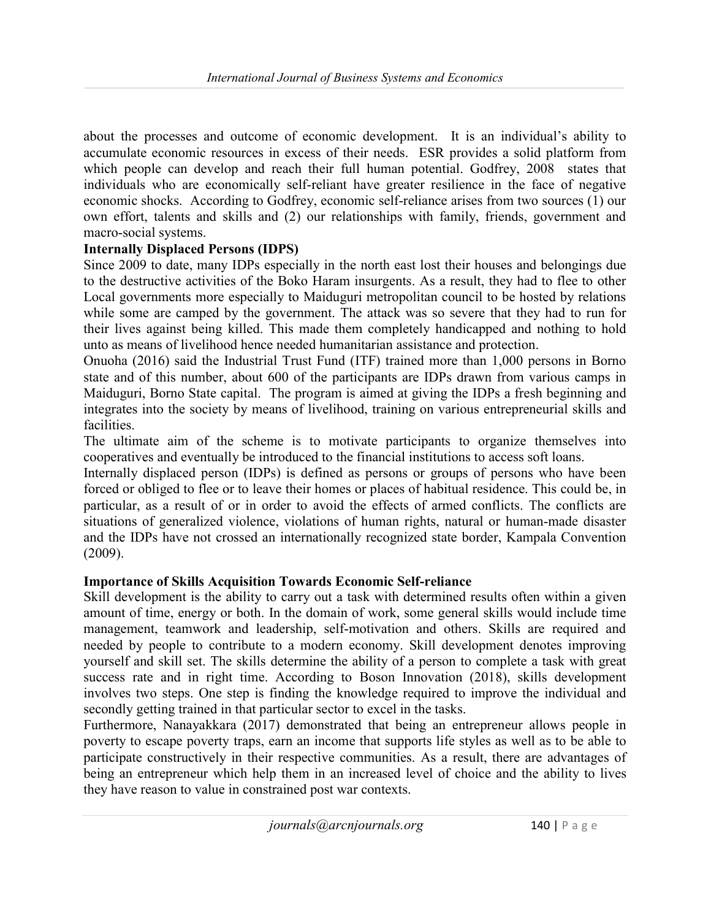about the processes and outcome of economic development. It is an individual's ability to accumulate economic resources in excess of their needs. ESR provides a solid platform from which people can develop and reach their full human potential. Godfrey, 2008 states that individuals who are economically self-reliant have greater resilience in the face of negative economic shocks. According to Godfrey, economic self-reliance arises from two sources (1) our own effort, talents and skills and (2) our relationships with family, friends, government and macro-social systems.

# Internally Displaced Persons (IDPS)

Since 2009 to date, many IDPs especially in the north east lost their houses and belongings due to the destructive activities of the Boko Haram insurgents. As a result, they had to flee to other Local governments more especially to Maiduguri metropolitan council to be hosted by relations while some are camped by the government. The attack was so severe that they had to run for their lives against being killed. This made them completely handicapped and nothing to hold unto as means of livelihood hence needed humanitarian assistance and protection.

Onuoha (2016) said the Industrial Trust Fund (ITF) trained more than 1,000 persons in Borno state and of this number, about 600 of the participants are IDPs drawn from various camps in Maiduguri, Borno State capital. The program is aimed at giving the IDPs a fresh beginning and integrates into the society by means of livelihood, training on various entrepreneurial skills and facilities.

The ultimate aim of the scheme is to motivate participants to organize themselves into cooperatives and eventually be introduced to the financial institutions to access soft loans.

Internally displaced person (IDPs) is defined as persons or groups of persons who have been forced or obliged to flee or to leave their homes or places of habitual residence. This could be, in particular, as a result of or in order to avoid the effects of armed conflicts. The conflicts are situations of generalized violence, violations of human rights, natural or human-made disaster and the IDPs have not crossed an internationally recognized state border, Kampala Convention (2009).

# Importance of Skills Acquisition Towards Economic Self-reliance

Skill development is the ability to carry out a task with determined results often within a given amount of time, energy or both. In the domain of work, some general skills would include time management, teamwork and leadership, self-motivation and others. Skills are required and needed by people to contribute to a modern economy. Skill development denotes improving yourself and skill set. The skills determine the ability of a person to complete a task with great success rate and in right time. According to Boson Innovation (2018), skills development involves two steps. One step is finding the knowledge required to improve the individual and secondly getting trained in that particular sector to excel in the tasks.

Furthermore, Nanayakkara (2017) demonstrated that being an entrepreneur allows people in poverty to escape poverty traps, earn an income that supports life styles as well as to be able to participate constructively in their respective communities. As a result, there are advantages of being an entrepreneur which help them in an increased level of choice and the ability to lives they have reason to value in constrained post war contexts.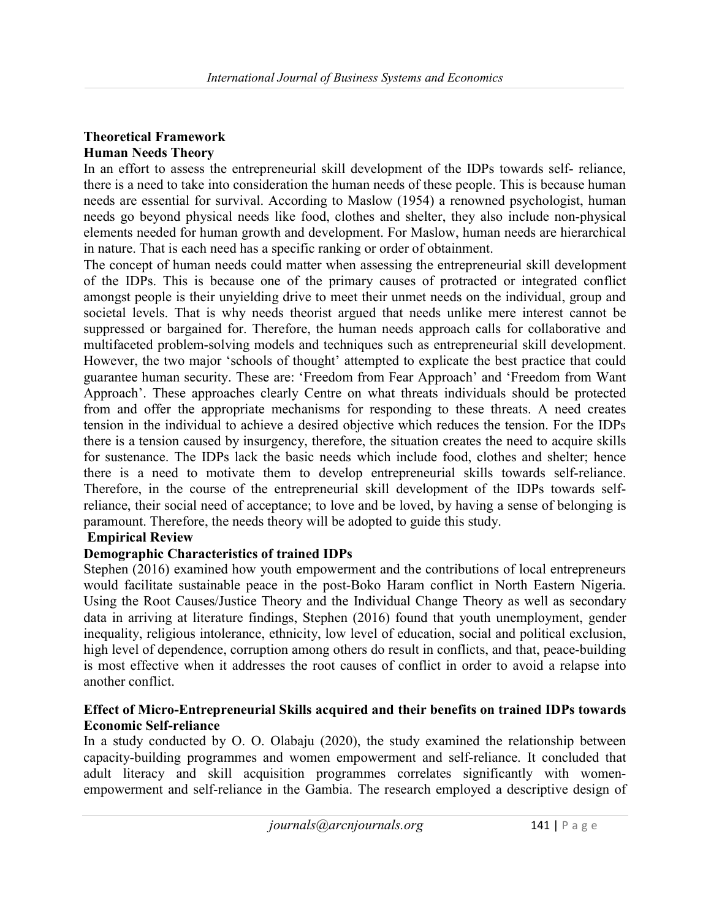# Theoretical Framework Human Needs Theory

In an effort to assess the entrepreneurial skill development of the IDPs towards self- reliance, there is a need to take into consideration the human needs of these people. This is because human needs are essential for survival. According to Maslow (1954) a renowned psychologist, human needs go beyond physical needs like food, clothes and shelter, they also include non-physical elements needed for human growth and development. For Maslow, human needs are hierarchical in nature. That is each need has a specific ranking or order of obtainment.

The concept of human needs could matter when assessing the entrepreneurial skill development of the IDPs. This is because one of the primary causes of protracted or integrated conflict amongst people is their unyielding drive to meet their unmet needs on the individual, group and societal levels. That is why needs theorist argued that needs unlike mere interest cannot be suppressed or bargained for. Therefore, the human needs approach calls for collaborative and multifaceted problem-solving models and techniques such as entrepreneurial skill development. However, the two major 'schools of thought' attempted to explicate the best practice that could guarantee human security. These are: 'Freedom from Fear Approach' and 'Freedom from Want Approach'. These approaches clearly Centre on what threats individuals should be protected from and offer the appropriate mechanisms for responding to these threats. A need creates tension in the individual to achieve a desired objective which reduces the tension. For the IDPs there is a tension caused by insurgency, therefore, the situation creates the need to acquire skills for sustenance. The IDPs lack the basic needs which include food, clothes and shelter; hence there is a need to motivate them to develop entrepreneurial skills towards self-reliance. Therefore, in the course of the entrepreneurial skill development of the IDPs towards selfreliance, their social need of acceptance; to love and be loved, by having a sense of belonging is paramount. Therefore, the needs theory will be adopted to guide this study.

# Empirical Review

# Demographic Characteristics of trained IDPs

Stephen (2016) examined how youth empowerment and the contributions of local entrepreneurs would facilitate sustainable peace in the post-Boko Haram conflict in North Eastern Nigeria. Using the Root Causes/Justice Theory and the Individual Change Theory as well as secondary data in arriving at literature findings, Stephen (2016) found that youth unemployment, gender inequality, religious intolerance, ethnicity, low level of education, social and political exclusion, high level of dependence, corruption among others do result in conflicts, and that, peace-building is most effective when it addresses the root causes of conflict in order to avoid a relapse into another conflict.

# Effect of Micro-Entrepreneurial Skills acquired and their benefits on trained IDPs towards Economic Self-reliance

In a study conducted by O. O. Olabaju (2020), the study examined the relationship between capacity-building programmes and women empowerment and self-reliance. It concluded that adult literacy and skill acquisition programmes correlates significantly with womenempowerment and self-reliance in the Gambia. The research employed a descriptive design of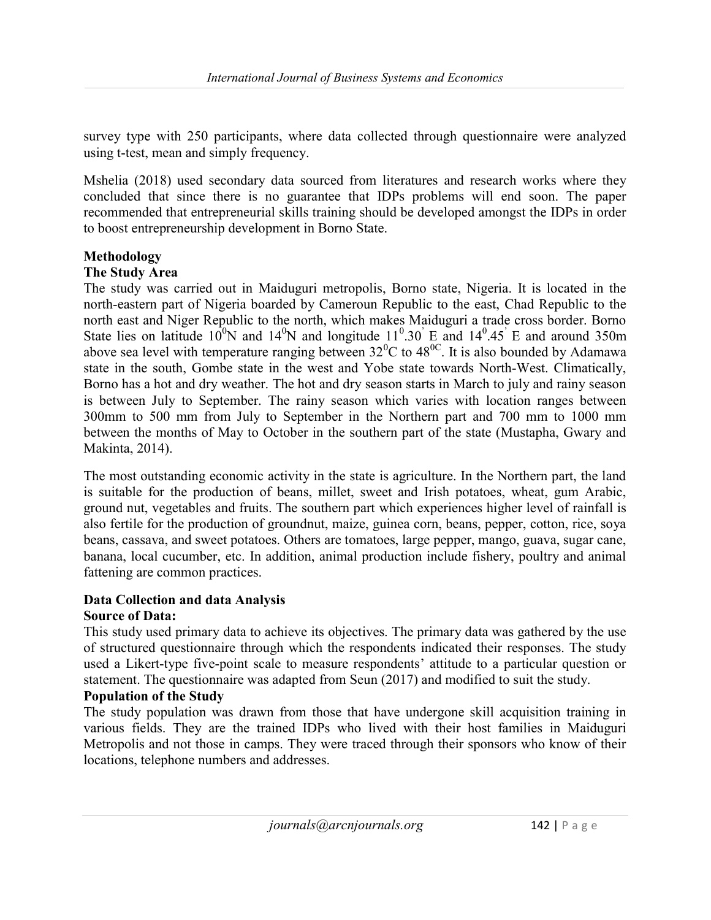survey type with 250 participants, where data collected through questionnaire were analyzed using t-test, mean and simply frequency.

Mshelia (2018) used secondary data sourced from literatures and research works where they concluded that since there is no guarantee that IDPs problems will end soon. The paper recommended that entrepreneurial skills training should be developed amongst the IDPs in order to boost entrepreneurship development in Borno State.

# Methodology

# The Study Area

The study was carried out in Maiduguri metropolis, Borno state, Nigeria. It is located in the north-eastern part of Nigeria boarded by Cameroun Republic to the east, Chad Republic to the north east and Niger Republic to the north, which makes Maiduguri a trade cross border. Borno State lies on latitude  $10^0$ N and  $14^0$ N and longitude  $11^0.30^{\circ}$  E and  $14^0.45^{\circ}$  E and around 350m above sea level with temperature ranging between  $32^{\circ}$ C to  $48^{\circ}$ . It is also bounded by Adamawa state in the south, Gombe state in the west and Yobe state towards North-West. Climatically, Borno has a hot and dry weather. The hot and dry season starts in March to july and rainy season is between July to September. The rainy season which varies with location ranges between 300mm to 500 mm from July to September in the Northern part and 700 mm to 1000 mm between the months of May to October in the southern part of the state (Mustapha, Gwary and Makinta, 2014).

The most outstanding economic activity in the state is agriculture. In the Northern part, the land is suitable for the production of beans, millet, sweet and Irish potatoes, wheat, gum Arabic, ground nut, vegetables and fruits. The southern part which experiences higher level of rainfall is also fertile for the production of groundnut, maize, guinea corn, beans, pepper, cotton, rice, soya beans, cassava, and sweet potatoes. Others are tomatoes, large pepper, mango, guava, sugar cane, banana, local cucumber, etc. In addition, animal production include fishery, poultry and animal fattening are common practices.

# Data Collection and data Analysis

# Source of Data:

This study used primary data to achieve its objectives. The primary data was gathered by the use of structured questionnaire through which the respondents indicated their responses. The study used a Likert-type five-point scale to measure respondents' attitude to a particular question or statement. The questionnaire was adapted from Seun (2017) and modified to suit the study.

# Population of the Study

The study population was drawn from those that have undergone skill acquisition training in various fields. They are the trained IDPs who lived with their host families in Maiduguri Metropolis and not those in camps. They were traced through their sponsors who know of their locations, telephone numbers and addresses.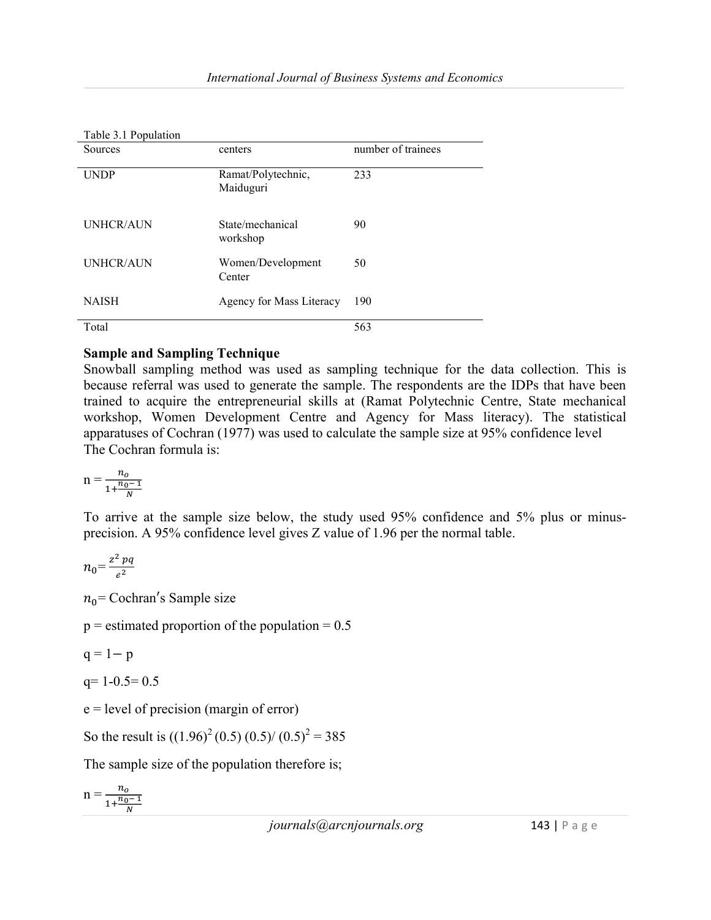| raon <i>J</i> . r r opulation |                                 |                    |
|-------------------------------|---------------------------------|--------------------|
| Sources                       | centers                         | number of trainees |
| <b>UNDP</b>                   | Ramat/Polytechnic,<br>Maiduguri | 233                |
| <b>UNHCR/AUN</b>              | State/mechanical<br>workshop    | 90                 |
| <b>UNHCR/AUN</b>              | Women/Development<br>Center     | 50                 |
| <b>NAISH</b>                  | Agency for Mass Literacy        | 190                |
| Total                         |                                 | 563                |

#### Table 3.1 Population

# Sample and Sampling Technique

Snowball sampling method was used as sampling technique for the data collection. This is because referral was used to generate the sample. The respondents are the IDPs that have been trained to acquire the entrepreneurial skills at (Ramat Polytechnic Centre, State mechanical workshop, Women Development Centre and Agency for Mass literacy). The statistical apparatuses of Cochran (1977) was used to calculate the sample size at 95% confidence level The Cochran formula is:

$$
n = \frac{n_o}{1 + \frac{n_0 - 1}{N}}
$$

To arrive at the sample size below, the study used 95% confidence and 5% plus or minusprecision. A 95% confidence level gives Z value of 1.96 per the normal table.

$$
n_0 = \frac{z^2 pq}{e^2}
$$

 $n_0$ = Cochran's Sample size

 $p =$  estimated proportion of the population = 0.5

 $q = 1-p$ 

 $q= 1-0.5= 0.5$ 

e = level of precision (margin of error)

So the result is  $((1.96)^{2} (0.5) (0.5) / (0.5)^{2} = 385$ 

The sample size of the population therefore is;

$$
n = \frac{n_o}{1 + \frac{n_o - 1}{N}}
$$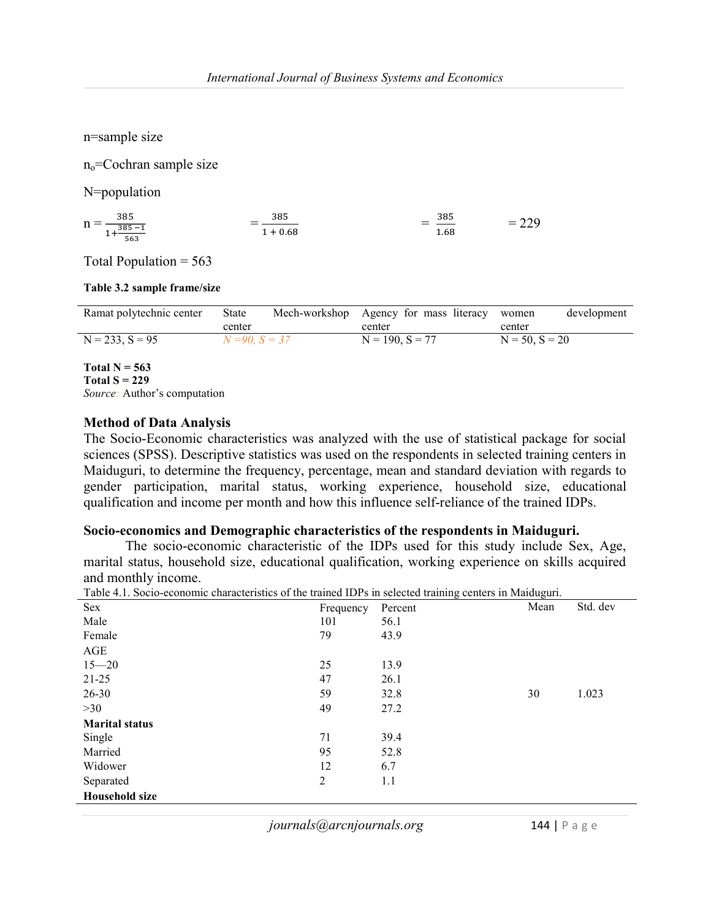n=sample size

no=Cochran sample size

N=population

 $n = \frac{385}{1.385}$  $\frac{385-1}{563}$  $=\frac{363}{1+0.68}$ ଷ଼ହ  $\mathcal{L}=\mathcal{L}^{\text{max}}$  , where  $\mathcal{L}^{\text{max}}$ ଷ଼ହ ଵ.଼  $= 229$ 

Total Population  $= 563$ 

#### Table 3.2 sample frame/size

| Ramat polytechnic center | State               | Mech-workshop Agency for mass literacy women |                  | development |
|--------------------------|---------------------|----------------------------------------------|------------------|-------------|
|                          | center              | center                                       | center           |             |
| $N = 233, S = 95$        | $N = 90$ , $S = 37$ | $N = 190$ , $S = 77$                         | $N = 50, S = 20$ |             |

Total  $N = 563$ Total  $S = 229$ Source: Author's computation

#### Method of Data Analysis

The Socio-Economic characteristics was analyzed with the use of statistical package for social sciences (SPSS). Descriptive statistics was used on the respondents in selected training centers in Maiduguri, to determine the frequency, percentage, mean and standard deviation with regards to gender participation, marital status, working experience, household size, educational qualification and income per month and how this influence self-reliance of the trained IDPs.

#### Socio-economics and Demographic characteristics of the respondents in Maiduguri.

 The socio-economic characteristic of the IDPs used for this study include Sex, Age, marital status, household size, educational qualification, working experience on skills acquired and monthly income.

| Table 4.1. Socio-economic characteristics of the trained IDPs in selected training centers in Maiduguri. |           |         |      |          |  |
|----------------------------------------------------------------------------------------------------------|-----------|---------|------|----------|--|
| <b>Sex</b>                                                                                               | Frequency | Percent | Mean | Std. dev |  |
| Male                                                                                                     | 101       | 56.1    |      |          |  |
| Female                                                                                                   | 79        | 43.9    |      |          |  |
| AGE                                                                                                      |           |         |      |          |  |
| $15 - 20$                                                                                                | 25        | 13.9    |      |          |  |
| $21 - 25$                                                                                                | 47        | 26.1    |      |          |  |
| $26 - 30$                                                                                                | 59        | 32.8    | 30   | 1.023    |  |
| >30                                                                                                      | 49        | 27.2    |      |          |  |
| <b>Marital status</b>                                                                                    |           |         |      |          |  |
| Single                                                                                                   | 71        | 39.4    |      |          |  |
| Married                                                                                                  | 95        | 52.8    |      |          |  |
| Widower                                                                                                  | 12        | 6.7     |      |          |  |
| Separated                                                                                                | 2         | 1.1     |      |          |  |
| <b>Household size</b>                                                                                    |           |         |      |          |  |

journals@arcnjournals.org 144 | P a g e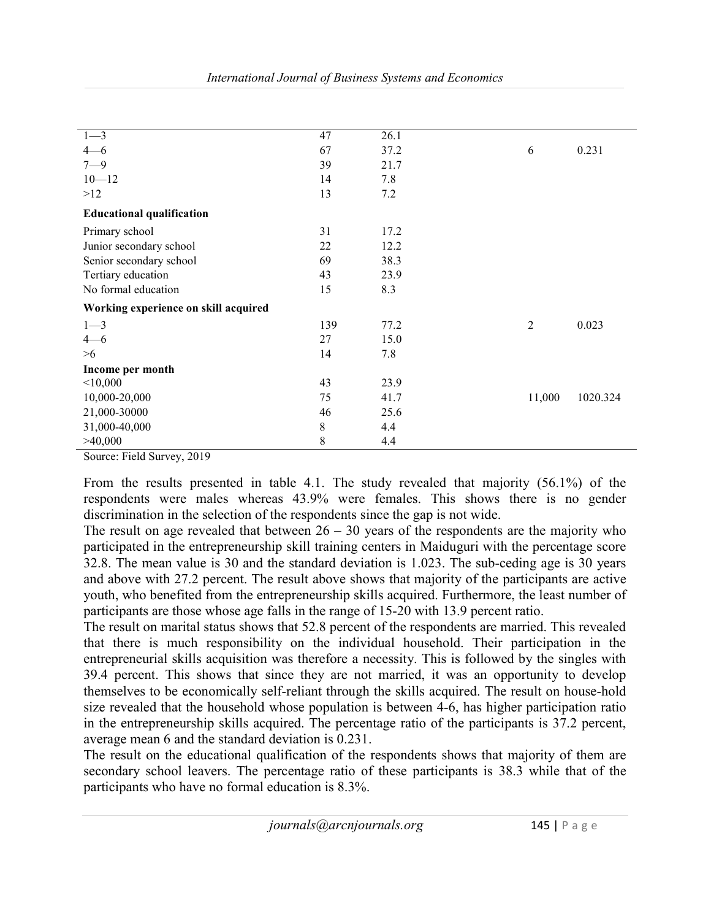| $1 - 3$                                | 47  | 26.1 |                |          |
|----------------------------------------|-----|------|----------------|----------|
| $4 - 6$                                | 67  | 37.2 | 6              | 0.231    |
| $7 - 9$                                | 39  | 21.7 |                |          |
| $10 - 12$                              | 14  | 7.8  |                |          |
| >12                                    | 13  | 7.2  |                |          |
| <b>Educational qualification</b>       |     |      |                |          |
| Primary school                         | 31  | 17.2 |                |          |
| Junior secondary school                | 22  | 12.2 |                |          |
| Senior secondary school                | 69  | 38.3 |                |          |
| Tertiary education                     | 43  | 23.9 |                |          |
| No formal education                    | 15  | 8.3  |                |          |
| Working experience on skill acquired   |     |      |                |          |
| $1 - 3$                                | 139 | 77.2 | $\overline{2}$ | 0.023    |
| $4 - 6$                                | 27  | 15.0 |                |          |
| >6                                     | 14  | 7.8  |                |          |
| Income per month                       |     |      |                |          |
| < 10,000                               | 43  | 23.9 |                |          |
| 10,000-20,000                          | 75  | 41.7 | 11,000         | 1020.324 |
| 21,000-30000                           | 46  | 25.6 |                |          |
| 31,000-40,000                          | 8   | 4.4  |                |          |
| >40,000                                | 8   | 4.4  |                |          |
| $-1$ $-1$ $-1$<br>$\sim$ $\sim$ $\sim$ |     |      |                |          |

Source: Field Survey, 2019

From the results presented in table 4.1. The study revealed that majority (56.1%) of the respondents were males whereas 43.9% were females. This shows there is no gender discrimination in the selection of the respondents since the gap is not wide.

The result on age revealed that between  $26 - 30$  years of the respondents are the majority who participated in the entrepreneurship skill training centers in Maiduguri with the percentage score 32.8. The mean value is 30 and the standard deviation is 1.023. The sub-ceding age is 30 years and above with 27.2 percent. The result above shows that majority of the participants are active youth, who benefited from the entrepreneurship skills acquired. Furthermore, the least number of participants are those whose age falls in the range of 15-20 with 13.9 percent ratio.

The result on marital status shows that 52.8 percent of the respondents are married. This revealed that there is much responsibility on the individual household. Their participation in the entrepreneurial skills acquisition was therefore a necessity. This is followed by the singles with 39.4 percent. This shows that since they are not married, it was an opportunity to develop themselves to be economically self-reliant through the skills acquired. The result on house-hold size revealed that the household whose population is between 4-6, has higher participation ratio in the entrepreneurship skills acquired. The percentage ratio of the participants is 37.2 percent, average mean 6 and the standard deviation is 0.231.

The result on the educational qualification of the respondents shows that majority of them are secondary school leavers. The percentage ratio of these participants is 38.3 while that of the participants who have no formal education is 8.3%.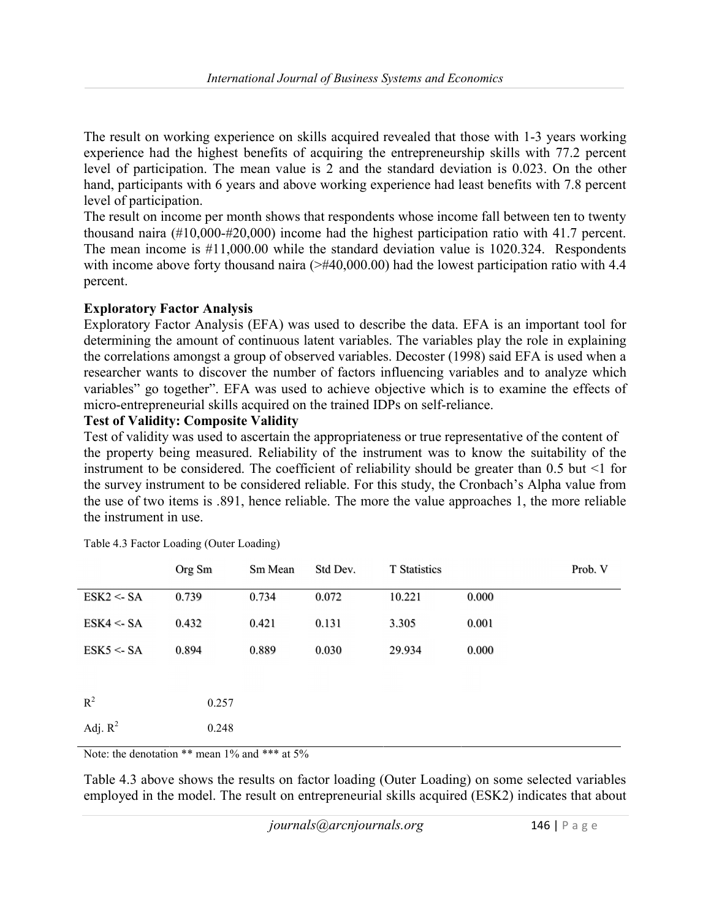The result on working experience on skills acquired revealed that those with 1-3 years working experience had the highest benefits of acquiring the entrepreneurship skills with 77.2 percent level of participation. The mean value is 2 and the standard deviation is 0.023. On the other hand, participants with 6 years and above working experience had least benefits with 7.8 percent level of participation.

The result on income per month shows that respondents whose income fall between ten to twenty thousand naira (#10,000-#20,000) income had the highest participation ratio with 41.7 percent. The mean income is #11,000.00 while the standard deviation value is 1020.324. Respondents with income above forty thousand naira  $(\geq \#40,000.00)$  had the lowest participation ratio with 4.4 percent.

# Exploratory Factor Analysis

Exploratory Factor Analysis (EFA) was used to describe the data. EFA is an important tool for determining the amount of continuous latent variables. The variables play the role in explaining the correlations amongst a group of observed variables. Decoster (1998) said EFA is used when a researcher wants to discover the number of factors influencing variables and to analyze which variables" go together". EFA was used to achieve objective which is to examine the effects of micro-entrepreneurial skills acquired on the trained IDPs on self-reliance.

# Test of Validity: Composite Validity

Test of validity was used to ascertain the appropriateness or true representative of the content of the property being measured. Reliability of the instrument was to know the suitability of the instrument to be considered. The coefficient of reliability should be greater than  $0.5$  but  $\leq 1$  for the survey instrument to be considered reliable. For this study, the Cronbach's Alpha value from the use of two items is .891, hence reliable. The more the value approaches 1, the more reliable the instrument in use.

|            | Org Sm | Sm Mean | Std Dev. | T Statistics |       | Prob. V |
|------------|--------|---------|----------|--------------|-------|---------|
| ESK2 < SA  | 0.739  | 0.734   | 0.072    | 10.221       | 0.000 |         |
| ESK4 < SA  | 0.432  | 0.421   | 0.131    | 3.305        | 0.001 |         |
| ESK5 < SA  | 0.894  | 0.889   | 0.030    | 29.934       | 0.000 |         |
|            |        |         |          |              |       |         |
| $R^2$      | 0.257  |         |          |              |       |         |
| Adj. $R^2$ | 0.248  |         |          |              |       |         |

Table 4.3 Factor Loading (Outer Loading)

Note: the denotation  $**$  mean  $1\%$  and  $***$  at  $5\%$ 

Table 4.3 above shows the results on factor loading (Outer Loading) on some selected variables employed in the model. The result on entrepreneurial skills acquired (ESK2) indicates that about

 $journals@arcniournals.org$  146 | P a g e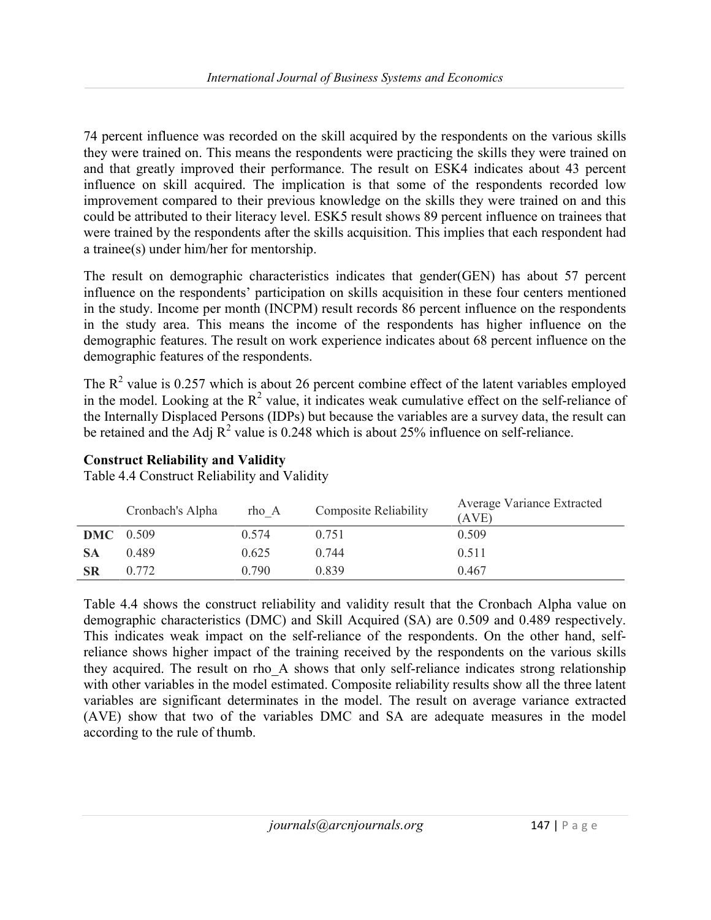74 percent influence was recorded on the skill acquired by the respondents on the various skills they were trained on. This means the respondents were practicing the skills they were trained on and that greatly improved their performance. The result on ESK4 indicates about 43 percent influence on skill acquired. The implication is that some of the respondents recorded low improvement compared to their previous knowledge on the skills they were trained on and this could be attributed to their literacy level. ESK5 result shows 89 percent influence on trainees that were trained by the respondents after the skills acquisition. This implies that each respondent had a trainee(s) under him/her for mentorship.

The result on demographic characteristics indicates that gender(GEN) has about 57 percent influence on the respondents' participation on skills acquisition in these four centers mentioned in the study. Income per month (INCPM) result records 86 percent influence on the respondents in the study area. This means the income of the respondents has higher influence on the demographic features. The result on work experience indicates about 68 percent influence on the demographic features of the respondents.

The  $R^2$  value is 0.257 which is about 26 percent combine effect of the latent variables employed in the model. Looking at the  $R^2$  value, it indicates weak cumulative effect on the self-reliance of the Internally Displaced Persons (IDPs) but because the variables are a survey data, the result can be retained and the Adj  $R^2$  value is 0.248 which is about 25% influence on self-reliance.

# Construct Reliability and Validity

Table 4.4 Construct Reliability and Validity

|                  | Cronbach's Alpha | rho A | <b>Composite Reliability</b> | Average Variance Extracted<br>(AVE) |
|------------------|------------------|-------|------------------------------|-------------------------------------|
| <b>DMC</b> 0.509 |                  | 0.574 | 0.751                        | 0.509                               |
| <b>SA</b>        | 0.489            | 0.625 | 0.744                        | 0.511                               |
| <b>SR</b>        | 0.772            | 0.790 | 0.839                        | 0.467                               |

Table 4.4 shows the construct reliability and validity result that the Cronbach Alpha value on demographic characteristics (DMC) and Skill Acquired (SA) are 0.509 and 0.489 respectively. This indicates weak impact on the self-reliance of the respondents. On the other hand, selfreliance shows higher impact of the training received by the respondents on the various skills they acquired. The result on rho\_A shows that only self-reliance indicates strong relationship with other variables in the model estimated. Composite reliability results show all the three latent variables are significant determinates in the model. The result on average variance extracted (AVE) show that two of the variables DMC and SA are adequate measures in the model according to the rule of thumb.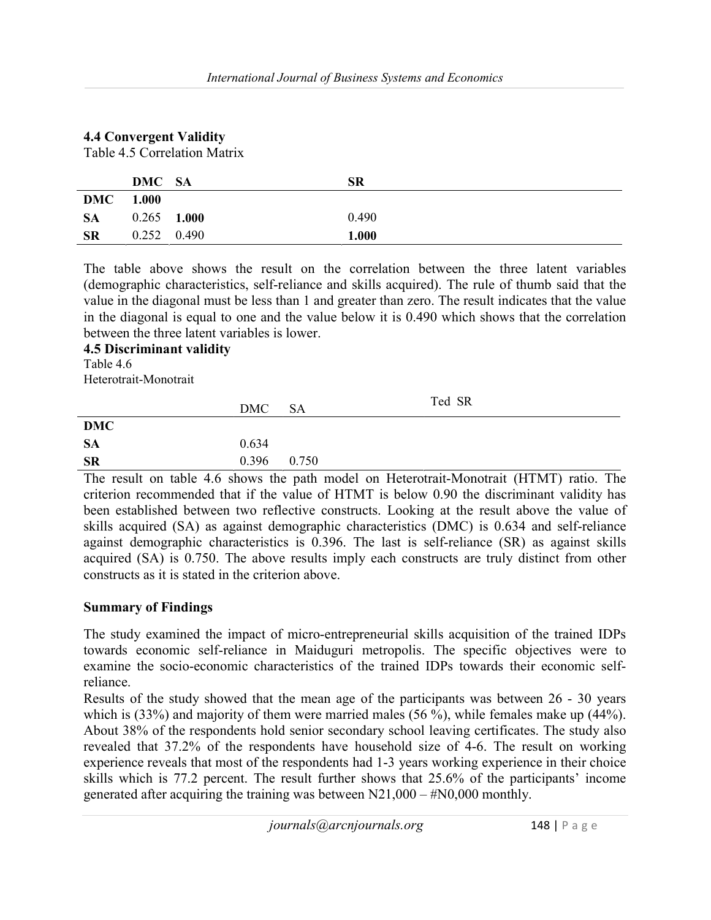# 4.4 Convergent Validity

Table 4.5 Correlation Matrix

|                  | DMC SA        | SR    |
|------------------|---------------|-------|
| <b>DMC</b> 1.000 |               |       |
| <b>SA</b>        | $0.265$ 1.000 | 0.490 |
| <b>SR</b>        | $0.252$ 0.490 | 1.000 |

The table above shows the result on the correlation between the three latent variables (demographic characteristics, self-reliance and skills acquired). The rule of thumb said that the value in the diagonal must be less than 1 and greater than zero. The result indicates that the value in the diagonal is equal to one and the value below it is 0.490 which shows that the correlation between the three latent variables is lower.

#### 4.5 Discriminant validity Table 4.6

Heterotrait-Monotrait

|            | DMC   | - SA  | Ted SR |
|------------|-------|-------|--------|
| <b>DMC</b> |       |       |        |
| <b>SA</b>  | 0.634 |       |        |
| <b>SR</b>  | 0.396 | 0.750 |        |

The result on table 4.6 shows the path model on Heterotrait-Monotrait (HTMT) ratio. The criterion recommended that if the value of HTMT is below 0.90 the discriminant validity has been established between two reflective constructs. Looking at the result above the value of skills acquired (SA) as against demographic characteristics (DMC) is 0.634 and self-reliance against demographic characteristics is 0.396. The last is self-reliance (SR) as against skills acquired (SA) is 0.750. The above results imply each constructs are truly distinct from other constructs as it is stated in the criterion above.

# Summary of Findings

The study examined the impact of micro-entrepreneurial skills acquisition of the trained IDPs towards economic self-reliance in Maiduguri metropolis. The specific objectives were to examine the socio-economic characteristics of the trained IDPs towards their economic selfreliance.

Results of the study showed that the mean age of the participants was between 26 - 30 years which is (33%) and majority of them were married males (56 %), while females make up (44%). About 38% of the respondents hold senior secondary school leaving certificates. The study also revealed that 37.2% of the respondents have household size of 4-6. The result on working experience reveals that most of the respondents had 1-3 years working experience in their choice skills which is 77.2 percent. The result further shows that 25.6% of the participants' income generated after acquiring the training was between  $N21,000 - #N0,000$  monthly.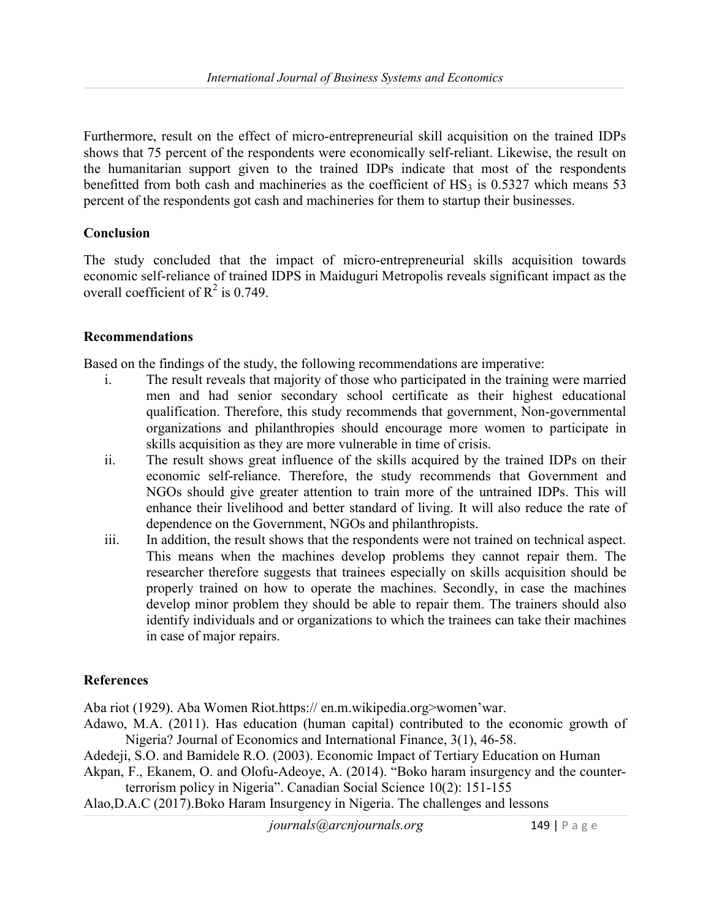Furthermore, result on the effect of micro-entrepreneurial skill acquisition on the trained IDPs shows that 75 percent of the respondents were economically self-reliant. Likewise, the result on the humanitarian support given to the trained IDPs indicate that most of the respondents benefitted from both cash and machineries as the coefficient of  $HS_3$  is 0.5327 which means 53 percent of the respondents got cash and machineries for them to startup their businesses.

# Conclusion

The study concluded that the impact of micro-entrepreneurial skills acquisition towards economic self-reliance of trained IDPS in Maiduguri Metropolis reveals significant impact as the overall coefficient of  $R^2$  is 0.749.

# Recommendations

Based on the findings of the study, the following recommendations are imperative:

- i. The result reveals that majority of those who participated in the training were married men and had senior secondary school certificate as their highest educational qualification. Therefore, this study recommends that government, Non-governmental organizations and philanthropies should encourage more women to participate in skills acquisition as they are more vulnerable in time of crisis.
- ii. The result shows great influence of the skills acquired by the trained IDPs on their economic self-reliance. Therefore, the study recommends that Government and NGOs should give greater attention to train more of the untrained IDPs. This will enhance their livelihood and better standard of living. It will also reduce the rate of dependence on the Government, NGOs and philanthropists.
- iii. In addition, the result shows that the respondents were not trained on technical aspect. This means when the machines develop problems they cannot repair them. The researcher therefore suggests that trainees especially on skills acquisition should be properly trained on how to operate the machines. Secondly, in case the machines develop minor problem they should be able to repair them. The trainers should also identify individuals and or organizations to which the trainees can take their machines in case of major repairs.

# References

Aba riot (1929). Aba Women Riot.https:// en.m.wikipedia.org>women'war.

- Adawo, M.A. (2011). Has education (human capital) contributed to the economic growth of Nigeria? Journal of Economics and International Finance, 3(1), 46-58.
- Adedeji, S.O. and Bamidele R.O. (2003). Economic Impact of Tertiary Education on Human
- Akpan, F., Ekanem, O. and Olofu-Adeoye, A. (2014). "Boko haram insurgency and the counterterrorism policy in Nigeria". Canadian Social Science 10(2): 151-155
- Alao,D.A.C (2017).Boko Haram Insurgency in Nigeria. The challenges and lessons

 $journals@arcnjournals.org$  149 | P a g e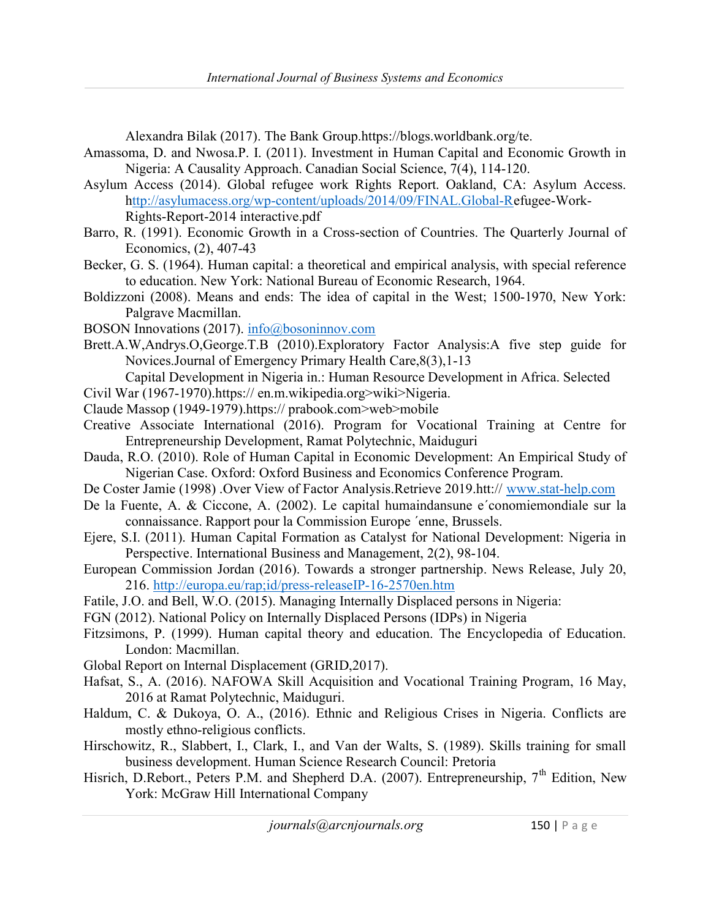Alexandra Bilak (2017). The Bank Group.https://blogs.worldbank.org/te.

- Amassoma, D. and Nwosa.P. I. (2011). Investment in Human Capital and Economic Growth in Nigeria: A Causality Approach. Canadian Social Science, 7(4), 114-120.
- Asylum Access (2014). Global refugee work Rights Report. Oakland, CA: Asylum Access. http://asylumacess.org/wp-content/uploads/2014/09/FINAL.Global-Refugee-Work-Rights-Report-2014 interactive.pdf
- Barro, R. (1991). Economic Growth in a Cross-section of Countries. The Quarterly Journal of Economics, (2), 407-43
- Becker, G. S. (1964). Human capital: a theoretical and empirical analysis, with special reference to education. New York: National Bureau of Economic Research, 1964.
- Boldizzoni (2008). Means and ends: The idea of capital in the West; 1500-1970, New York: Palgrave Macmillan.
- BOSON Innovations (2017). info@bosoninnov.com
- Brett.A.W,Andrys.O,George.T.B (2010).Exploratory Factor Analysis:A five step guide for Novices.Journal of Emergency Primary Health Care,8(3),1-13
	- Capital Development in Nigeria in.: Human Resource Development in Africa. Selected
- Civil War (1967-1970).https:// en.m.wikipedia.org>wiki>Nigeria.
- Claude Massop (1949-1979).https:// prabook.com>web>mobile
- Creative Associate International (2016). Program for Vocational Training at Centre for Entrepreneurship Development, Ramat Polytechnic, Maiduguri
- Dauda, R.O. (2010). Role of Human Capital in Economic Development: An Empirical Study of Nigerian Case. Oxford: Oxford Business and Economics Conference Program.
- De Coster Jamie (1998) .Over View of Factor Analysis.Retrieve 2019.htt:// www.stat-help.com
- De la Fuente, A. & Ciccone, A. (2002). Le capital humaindansune e´conomiemondiale sur la connaissance. Rapport pour la Commission Europe ´enne, Brussels.
- Ejere, S.I. (2011). Human Capital Formation as Catalyst for National Development: Nigeria in Perspective. International Business and Management, 2(2), 98-104.
- European Commission Jordan (2016). Towards a stronger partnership. News Release, July 20, 216. http://europa.eu/rap;id/press-releaseIP-16-2570en.htm
- Fatile, J.O. and Bell, W.O. (2015). Managing Internally Displaced persons in Nigeria:
- FGN (2012). National Policy on Internally Displaced Persons (IDPs) in Nigeria
- Fitzsimons, P. (1999). Human capital theory and education. The Encyclopedia of Education. London: Macmillan.
- Global Report on Internal Displacement (GRID,2017).
- Hafsat, S., A. (2016). NAFOWA Skill Acquisition and Vocational Training Program, 16 May, 2016 at Ramat Polytechnic, Maiduguri.
- Haldum, C. & Dukoya, O. A., (2016). Ethnic and Religious Crises in Nigeria. Conflicts are mostly ethno-religious conflicts.
- Hirschowitz, R., Slabbert, I., Clark, I., and Van der Walts, S. (1989). Skills training for small business development. Human Science Research Council: Pretoria
- Hisrich, D.Rebort., Peters P.M. and Shepherd D.A. (2007). Entrepreneurship, 7<sup>th</sup> Edition, New York: McGraw Hill International Company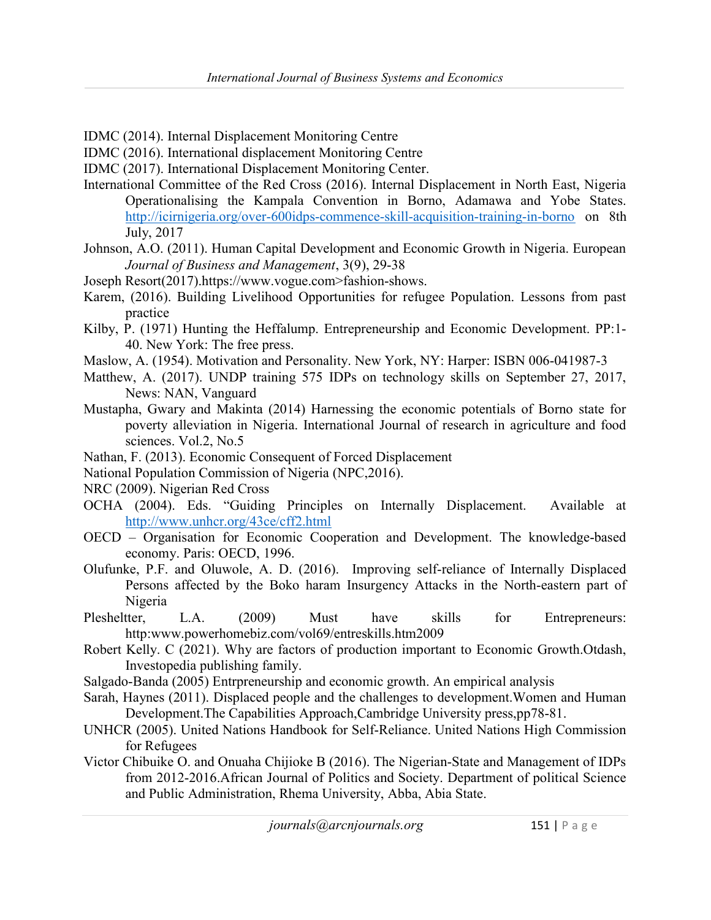- IDMC (2014). Internal Displacement Monitoring Centre
- IDMC (2016). International displacement Monitoring Centre
- IDMC (2017). International Displacement Monitoring Center.
- International Committee of the Red Cross (2016). Internal Displacement in North East, Nigeria Operationalising the Kampala Convention in Borno, Adamawa and Yobe States. http://icirnigeria.org/over-600idps-commence-skill-acquisition-training-in-borno on 8th July, 2017
- Johnson, A.O. (2011). Human Capital Development and Economic Growth in Nigeria. European Journal of Business and Management, 3(9), 29-38
- Joseph Resort(2017).https://www.vogue.com>fashion-shows.
- Karem, (2016). Building Livelihood Opportunities for refugee Population. Lessons from past practice
- Kilby, P. (1971) Hunting the Heffalump. Entrepreneurship and Economic Development. PP:1- 40. New York: The free press.
- Maslow, A. (1954). Motivation and Personality. New York, NY: Harper: ISBN 006-041987-3
- Matthew, A. (2017). UNDP training 575 IDPs on technology skills on September 27, 2017, News: NAN, Vanguard
- Mustapha, Gwary and Makinta (2014) Harnessing the economic potentials of Borno state for poverty alleviation in Nigeria. International Journal of research in agriculture and food sciences. Vol.2, No.5
- Nathan, F. (2013). Economic Consequent of Forced Displacement
- National Population Commission of Nigeria (NPC,2016).
- NRC (2009). Nigerian Red Cross
- OCHA (2004). Eds. "Guiding Principles on Internally Displacement. Available at http://www.unhcr.org/43ce/cff2.html
- OECD Organisation for Economic Cooperation and Development. The knowledge-based economy. Paris: OECD, 1996.
- Olufunke, P.F. and Oluwole, A. D. (2016). Improving self-reliance of Internally Displaced Persons affected by the Boko haram Insurgency Attacks in the North-eastern part of Nigeria
- Plesheltter, L.A. (2009) Must have skills for Entrepreneurs: http:www.powerhomebiz.com/vol69/entreskills.htm2009
- Robert Kelly. C (2021). Why are factors of production important to Economic Growth.Otdash, Investopedia publishing family.
- Salgado-Banda (2005) Entrpreneurship and economic growth. An empirical analysis
- Sarah, Haynes (2011). Displaced people and the challenges to development.Women and Human Development.The Capabilities Approach,Cambridge University press,pp78-81.
- UNHCR (2005). United Nations Handbook for Self-Reliance. United Nations High Commission for Refugees
- Victor Chibuike O. and Onuaha Chijioke B (2016). The Nigerian-State and Management of IDPs from 2012-2016.African Journal of Politics and Society. Department of political Science and Public Administration, Rhema University, Abba, Abia State.